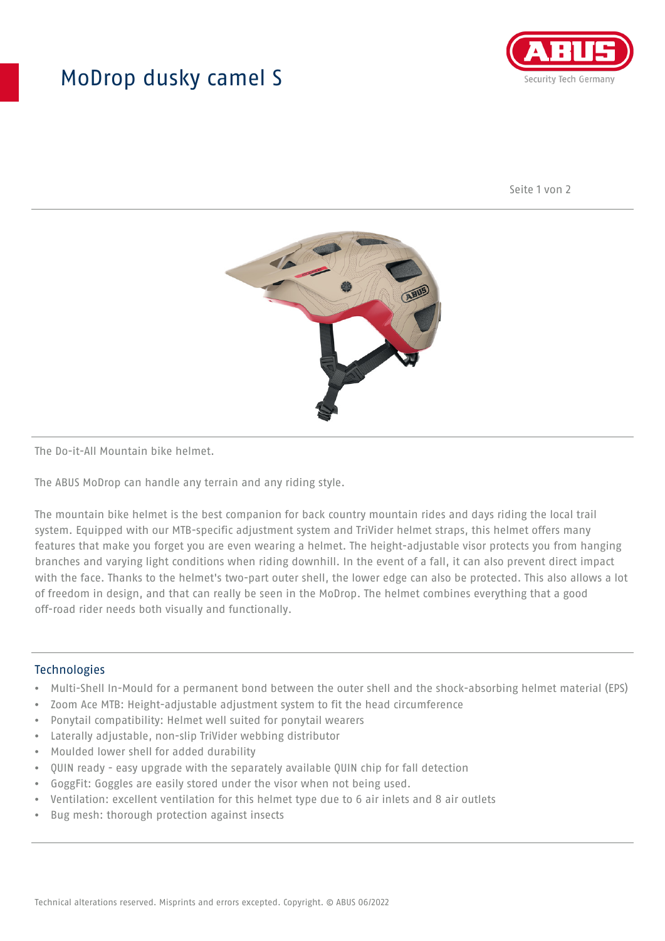## MoDrop dusky camel S



Seite 1 von 2



The Do-it-All Mountain bike helmet.

The ABUS MoDrop can handle any terrain and any riding style.

The mountain bike helmet is the best companion for back country mountain rides and days riding the local trail system. Equipped with our MTB-specific adjustment system and TriVider helmet straps, this helmet offers many features that make you forget you are even wearing a helmet. The height-adjustable visor protects you from hanging branches and varying light conditions when riding downhill. In the event of a fall, it can also prevent direct impact with the face. Thanks to the helmet's two-part outer shell, the lower edge can also be protected. This also allows a lot of freedom in design, and that can really be seen in the MoDrop. The helmet combines everything that a good off-road rider needs both visually and functionally.

## Technologies

- Multi-Shell In-Mould for a permanent bond between the outer shell and the shock-absorbing helmet material (EPS)
- Zoom Ace MTB: Height-adjustable adjustment system to fit the head circumference
- Ponytail compatibility: Helmet well suited for ponytail wearers
- Laterally adjustable, non-slip TriVider webbing distributor
- Moulded lower shell for added durability
- QUIN ready easy upgrade with the separately available QUIN chip for fall detection
- GoggFit: Goggles are easily stored under the visor when not being used.
- Ventilation: excellent ventilation for this helmet type due to 6 air inlets and 8 air outlets
- Bug mesh: thorough protection against insects